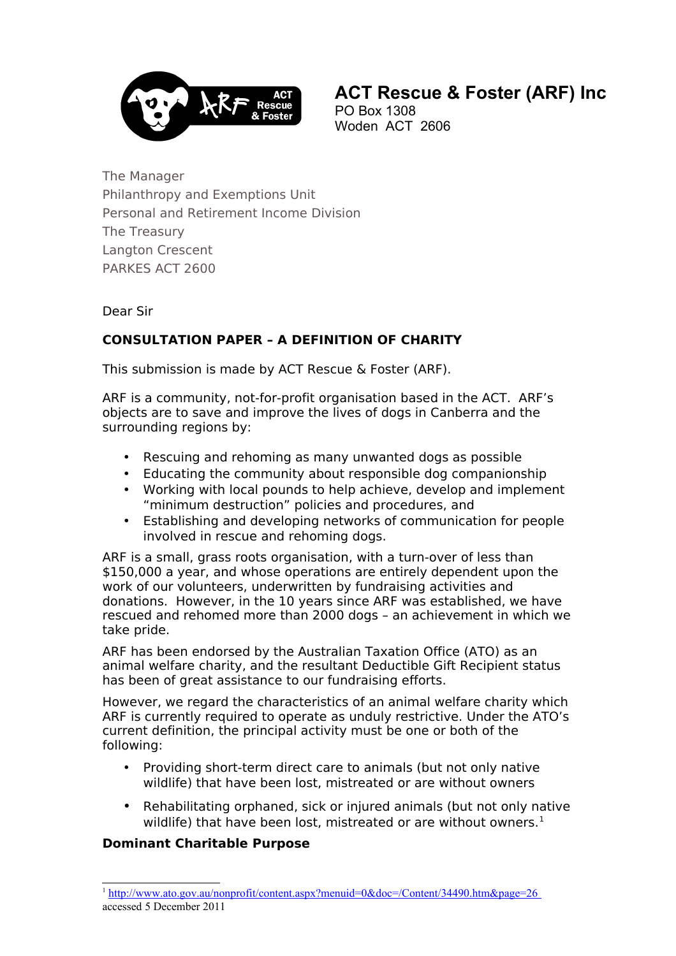

 **ACT Rescue & Foster (ARF) Inc** PO Box 1308

Woden ACT 2606

The Manager Philanthropy and Exemptions Unit Personal and Retirement Income Division The Treasury Langton Crescent PARKES ACT 2600

## Dear Sir

# **CONSULTATION PAPER – A DEFINITION OF CHARITY**

This submission is made by ACT Rescue & Foster (ARF).

ARF is a community, not-for-profit organisation based in the ACT. ARF's objects are to save and improve the lives of dogs in Canberra and the surrounding regions by:

- Rescuing and rehoming as many unwanted dogs as possible
- Educating the community about responsible dog companionship
- Working with local pounds to help achieve, develop and implement "minimum destruction" policies and procedures, and
- Establishing and developing networks of communication for people involved in rescue and rehoming dogs.

ARF is a small, grass roots organisation, with a turn-over of less than \$150,000 a year, and whose operations are entirely dependent upon the work of our volunteers, underwritten by fundraising activities and donations. However, in the 10 years since ARF was established, we have rescued and rehomed more than 2000 dogs – an achievement in which we take pride.

has been of great assistance to our fundraising efforts. ARF has been endorsed by the Australian Taxation Office (ATO) as an animal welfare charity, and the resultant Deductible Gift Recipient status

However, we regard the characteristics of an animal welfare charity which ARF is currently required to operate as unduly restrictive. Under the ATO's current definition, the principal activity must be one or both of the following:

- Providing short-term direct care to animals (but not only native wildlife) that have been lost, mistreated or are without owners
- Rehabilitating orphaned, sick or injured animals (but not only native wildlife) that have been lost, mistreated or are without owners.<sup>1</sup>

# **Dominant Charitable Purpose**

<span id="page-0-0"></span><sup>&</sup>lt;sup>1</sup> http://www.ato.gov.au/nonprofit/content.aspx?menuid=0&doc=/Content/34490.htm&page=26 accessed 5 December 2011